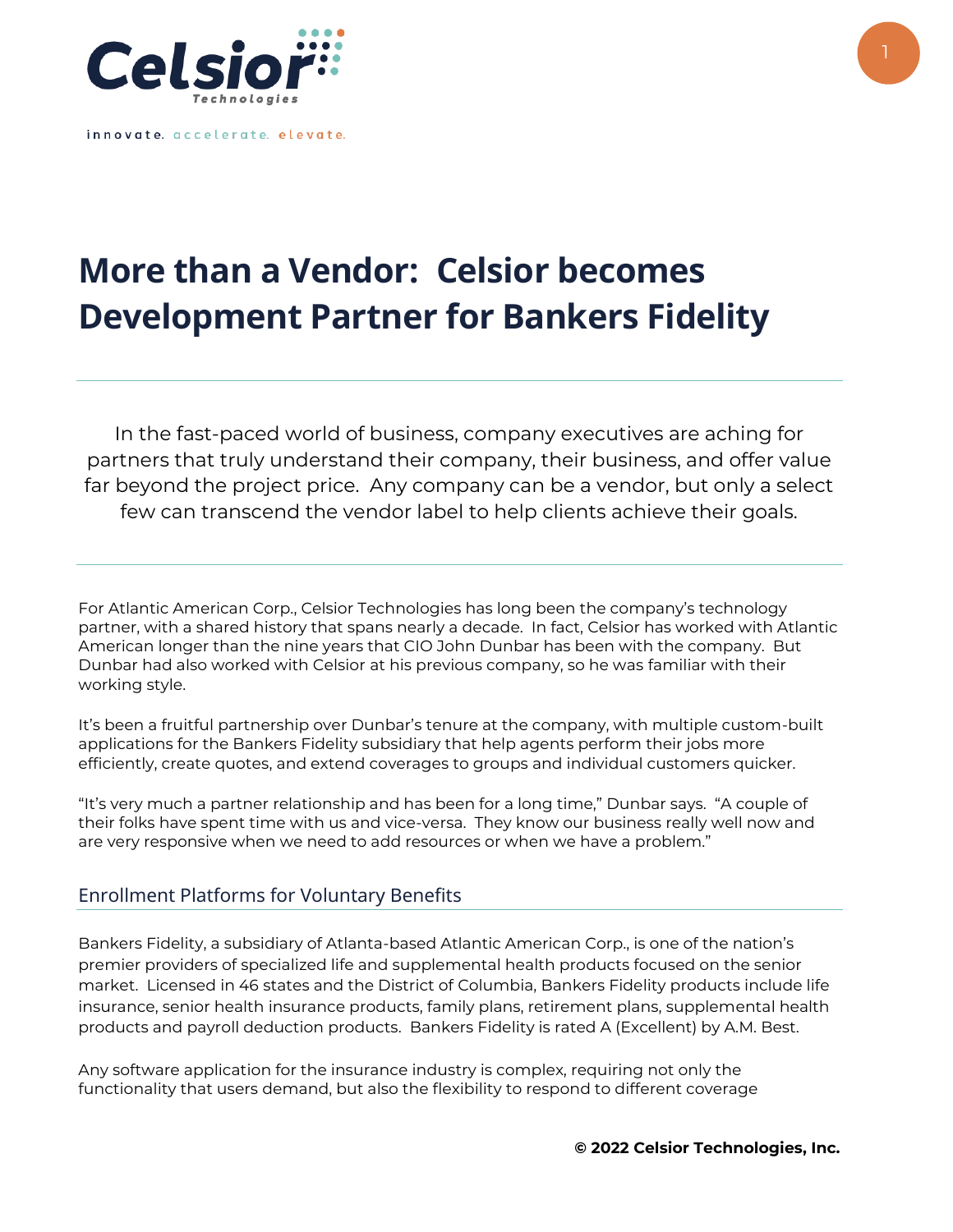

innovate. accelerate. elevate.

# **More than a Vendor: Celsior becomes Development Partner for Bankers Fidelity**

In the fast-paced world of business, company executives are aching for partners that truly understand their company, their business, and offer value far beyond the project price. Any company can be a vendor, but only a select few can transcend the vendor label to help clients achieve their goals.

For Atlantic American Corp., Celsior Technologies has long been the company's technology partner, with a shared history that spans nearly a decade. In fact, Celsior has worked with Atlantic American longer than the nine years that CIO John Dunbar has been with the company. But Dunbar had also worked with Celsior at his previous company, so he was familiar with their working style.

It's been a fruitful partnership over Dunbar's tenure at the company, with multiple custom-built applications for the Bankers Fidelity subsidiary that help agents perform their jobs more efficiently, create quotes, and extend coverages to groups and individual customers quicker.

"It's very much a partner relationship and has been for a long time," Dunbar says. "A couple of their folks have spent time with us and vice-versa. They know our business really well now and are very responsive when we need to add resources or when we have a problem."

## Enrollment Platforms for Voluntary Benefits

Bankers Fidelity, a subsidiary of Atlanta-based Atlantic American Corp., is one of the nation's premier providers of specialized life and supplemental health products focused on the senior market. Licensed in 46 states and the District of Columbia, Bankers Fidelity products include life insurance, senior health insurance products, family plans, retirement plans, supplemental health products and payroll deduction products. Bankers Fidelity is rated A (Excellent) by A.M. Best.

Any software application for the insurance industry is complex, requiring not only the functionality that users demand, but also the flexibility to respond to different coverage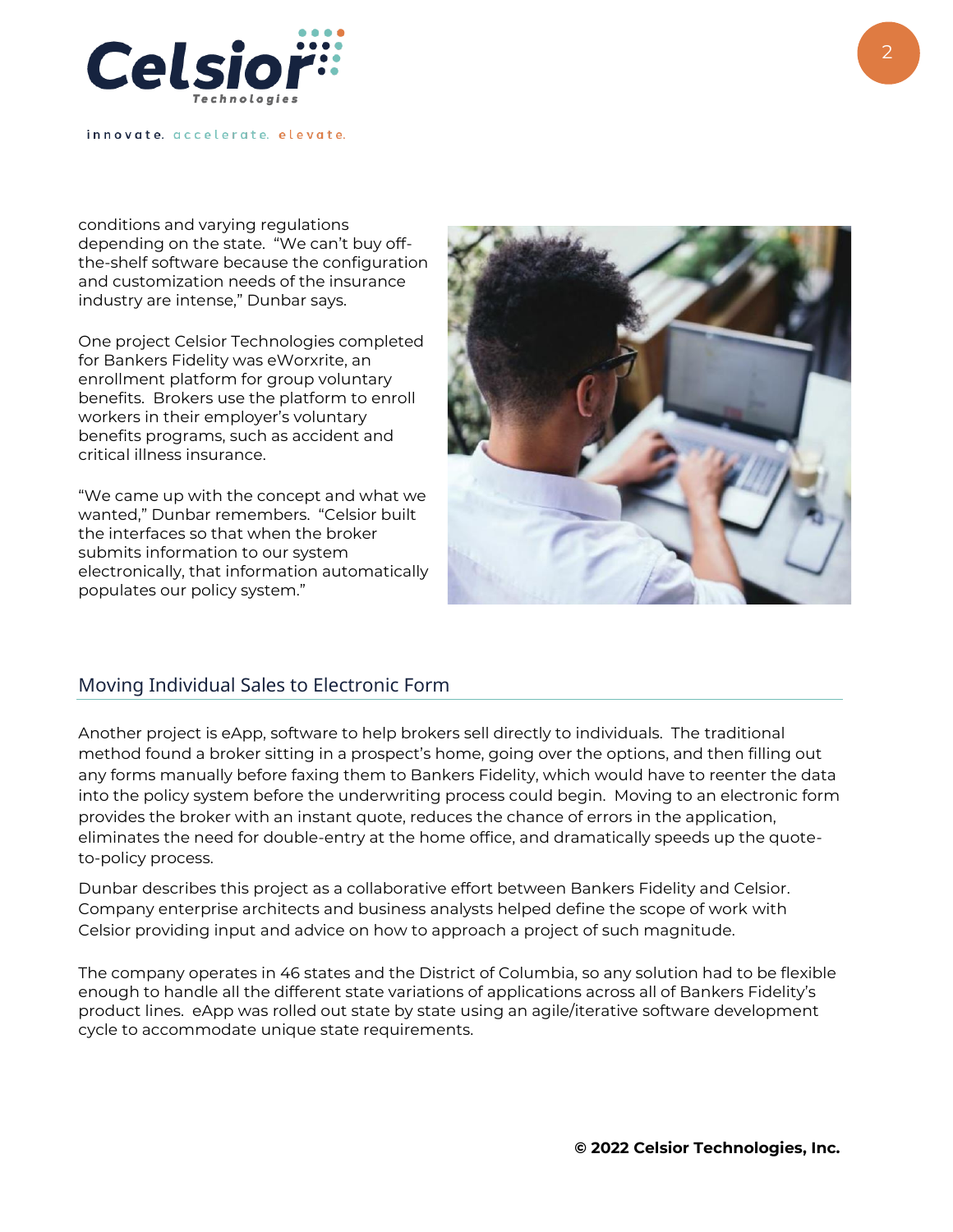

innovate. accelerate. elevate.

conditions and varying regulations depending on the state. "We can't buy offthe-shelf software because the configuration and customization needs of the insurance industry are intense," Dunbar says.

One project Celsior Technologies completed for Bankers Fidelity was eWorxrite, an enrollment platform for group voluntary benefits. Brokers use the platform to enroll workers in their employer's voluntary benefits programs, such as accident and critical illness insurance.

"We came up with the concept and what we wanted," Dunbar remembers. "Celsior built the interfaces so that when the broker submits information to our system electronically, that information automatically populates our policy system."



#### Moving Individual Sales to Electronic Form

Another project is eApp, software to help brokers sell directly to individuals. The traditional method found a broker sitting in a prospect's home, going over the options, and then filling out any forms manually before faxing them to Bankers Fidelity, which would have to reenter the data into the policy system before the underwriting process could begin. Moving to an electronic form provides the broker with an instant quote, reduces the chance of errors in the application, eliminates the need for double-entry at the home office, and dramatically speeds up the quoteto-policy process.

Dunbar describes this project as a collaborative effort between Bankers Fidelity and Celsior. Company enterprise architects and business analysts helped define the scope of work with Celsior providing input and advice on how to approach a project of such magnitude.

The company operates in 46 states and the District of Columbia, so any solution had to be flexible enough to handle all the different state variations of applications across all of Bankers Fidelity's product lines. eApp was rolled out state by state using an agile/iterative software development cycle to accommodate unique state requirements.